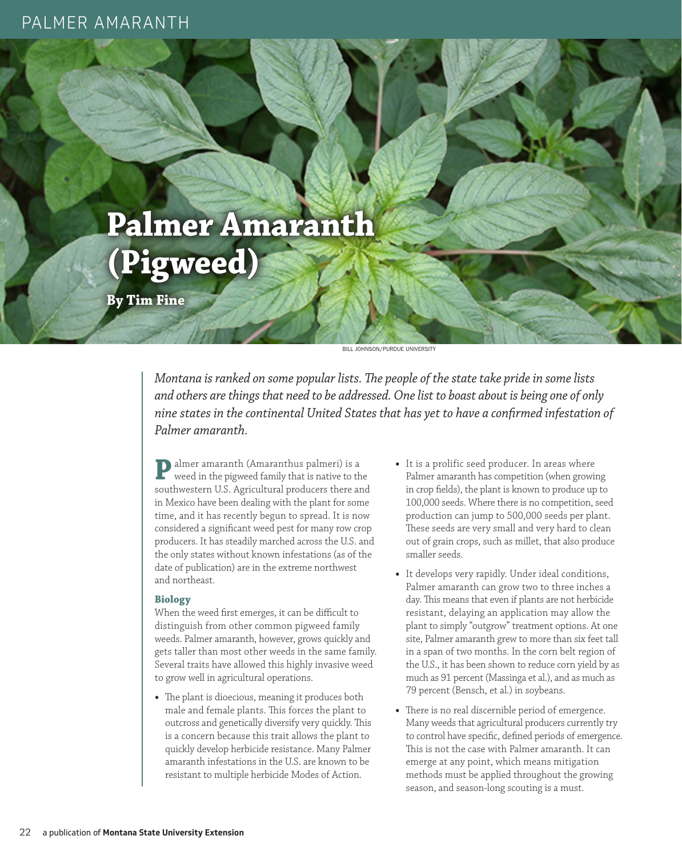## PALMER AMARANTH



**By Tim Fine**

BILL JOHNSON/PURDUE UNIVERSITY

*Montana is ranked on some popular lists. The people of the state take pride in some lists and others are things that need to be addressed. One list to boast about is being one of only nine states in the continental United States that has yet to have a confirmed infestation of Palmer amaranth.*

**P**almer amaranth (Amaranthus palmeri) is a weed in the pigweed family that is native to the southwestern U.S. Agricultural producers there and in Mexico have been dealing with the plant for some time, and it has recently begun to spread. It is now considered a significant weed pest for many row crop producers. It has steadily marched across the U.S. and the only states without known infestations (as of the date of publication) are in the extreme northwest and northeast.

## **Biology**

When the weed first emerges, it can be difficult to distinguish from other common pigweed family weeds. Palmer amaranth, however, grows quickly and gets taller than most other weeds in the same family. Several traits have allowed this highly invasive weed to grow well in agricultural operations.

**•** The plant is dioecious, meaning it produces both male and female plants. This forces the plant to outcross and genetically diversify very quickly. This is a concern because this trait allows the plant to quickly develop herbicide resistance. Many Palmer amaranth infestations in the U.S. are known to be resistant to multiple herbicide Modes of Action.

- **•** It is a prolific seed producer. In areas where Palmer amaranth has competition (when growing in crop fields), the plant is known to produce up to 100,000 seeds. Where there is no competition, seed production can jump to 500,000 seeds per plant. These seeds are very small and very hard to clean out of grain crops, such as millet, that also produce smaller seeds.
- **•** It develops very rapidly. Under ideal conditions, Palmer amaranth can grow two to three inches a day. This means that even if plants are not herbicide resistant, delaying an application may allow the plant to simply "outgrow" treatment options. At one site, Palmer amaranth grew to more than six feet tall in a span of two months. In the corn belt region of the U.S., it has been shown to reduce corn yield by as much as 91 percent (Massinga et al.), and as much as 79 percent (Bensch, et al.) in soybeans.
- **•** There is no real discernible period of emergence. Many weeds that agricultural producers currently try to control have specific, defined periods of emergence. This is not the case with Palmer amaranth. It can emerge at any point, which means mitigation methods must be applied throughout the growing season, and season-long scouting is a must.